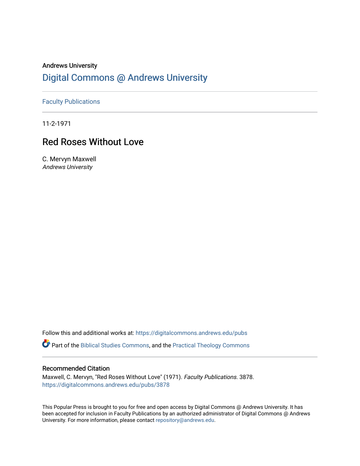## Andrews University [Digital Commons @ Andrews University](https://digitalcommons.andrews.edu/)

[Faculty Publications](https://digitalcommons.andrews.edu/pubs)

11-2-1971

## Red Roses Without Love

C. Mervyn Maxwell Andrews University

Follow this and additional works at: [https://digitalcommons.andrews.edu/pubs](https://digitalcommons.andrews.edu/pubs?utm_source=digitalcommons.andrews.edu%2Fpubs%2F3878&utm_medium=PDF&utm_campaign=PDFCoverPages) 

Part of the [Biblical Studies Commons,](http://network.bepress.com/hgg/discipline/539?utm_source=digitalcommons.andrews.edu%2Fpubs%2F3878&utm_medium=PDF&utm_campaign=PDFCoverPages) and the [Practical Theology Commons](http://network.bepress.com/hgg/discipline/1186?utm_source=digitalcommons.andrews.edu%2Fpubs%2F3878&utm_medium=PDF&utm_campaign=PDFCoverPages) 

## Recommended Citation

Maxwell, C. Mervyn, "Red Roses Without Love" (1971). Faculty Publications. 3878. [https://digitalcommons.andrews.edu/pubs/3878](https://digitalcommons.andrews.edu/pubs/3878?utm_source=digitalcommons.andrews.edu%2Fpubs%2F3878&utm_medium=PDF&utm_campaign=PDFCoverPages) 

This Popular Press is brought to you for free and open access by Digital Commons @ Andrews University. It has been accepted for inclusion in Faculty Publications by an authorized administrator of Digital Commons @ Andrews University. For more information, please contact [repository@andrews.edu](mailto:repository@andrews.edu).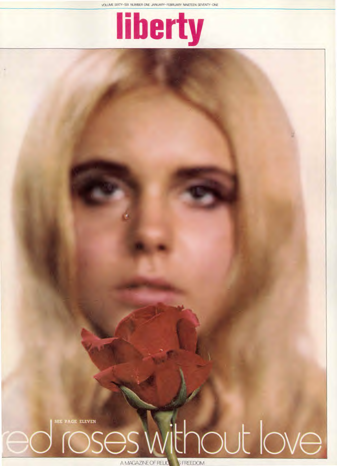VOLUME SIXTY-SIX NUMBER ONE JANUARY-FEBRUARY NINETEEN SEVENTY-ONE



A Mithout love EE PAGE ELEVEN Ses.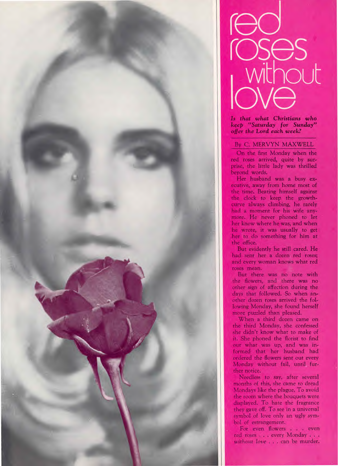



**Is** that what Christians who *keep* "Saturday for Sunday" offer the Lord each week?

## By C. MERVYN MAXWELL

On the first Monday when the red roses arrived, quite by surprise, the little lady was thrilled beyond words.

Her husband was a busy exha mu he<br>Inte<br>Inte<br>Inte h e time. Beating himself against ecutive, away from home most of he clock to keep the growthurve always climbing, he rarely had a moment for his wife anymore. He never phoned to let her know where he was, and when he wrote, it was usually to get her to do something for him at the office.

But evidently he still cared. He had sent her a dozen red roses; and every woman knows what red >roses mean.

But there was no note with the flowers, and there was no other sign of affection during the days that followed. So when an- ,other dozen roses arrived the following Monday, she found herself more puzzled than pleased.

When a third dozen came on the third Monday, she confessed she didn't know what to make of it. She phoned the florist to find out what was up, and was informed that her husband had ordered the flowers sent out every Monday without fail, until further notice.

Needless to say, after several months of this, she came to dread Mondays like the plague. To avoid the room where the bouquets were displayed. To hate the fragrance they gave off. To see in a universal symbol of love only an ugly symbol of estrangement.

For even flowers . . . even red roses . . . every Monday . . . without *love . . .* can be murder.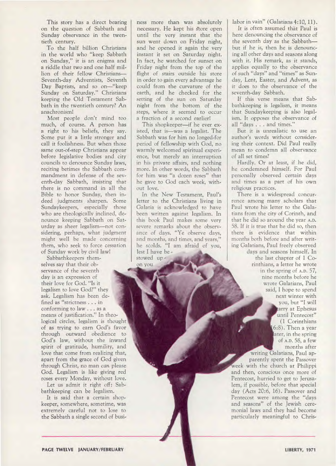This story has a direct bearing on the question of Sabbath and Sunday observance in the twentieth century.

To the half billion Christians in the world who "keep Sabbath on Sunday," it is an enigma and a riddle that two and one half million of their fellow Christians— Seventh-day Adventists, Seventh Day Baptists, and so on—"keep Sunday on Saturday." Christians keeping the Old Testament Sabbath in the twentieth century? An anachronism!

Most people don't mind too much, of course. A person has a right to his beliefs, they say. Some put it a little stronger and call it foolishness. But when those same out-of-step Christians appear before legislative bodies and city councils to denounce Sunday laws, reciting betimes the Sabbath commandment in defense of the seventh-day Sabbath, insisting that there is no command in all the Bible to honor Sunday, then indeed judgments sharpen. Some Sundaykeepers, especially those who are theologically inclined, denounce keeping Sabbath on Saturday as sheer legalism—not considering, perhaps, what judgment might well be made concerning them, who seek to force cessation of Sunday work by civil law!

Sabbathkeepers themselves say that their observance of the seventh day is an expression of their love for God. "Is it legalism to love God?" they ask. Legalism has been defined as "strictness . . . in conforming to law . . . as a means of justification." In theological circles, legalism is thought of as trying to earn God's favor through outward obedience to God's law, without the inward spirit of gratitude, humility, and love that come from realizing that, apart from the grace of God given through Christ, no man *can* please God. Legalism is like giving red roses every Monday, without love.

Let us admit it right off: Sabbathkeeping can be legalism.

It is said that a certain shopkeeper, somewhere, sometime, was extremely careful not to lose to the Sabbath a single second of business more than was absolutely necessary. He kept his Store open until the very instant that the sun went down on Friday night, and he opened it again the very instant it set on Saturday night. In fact, he watched for sunset on Friday night from the top of the flight of stairs outside his store in order to gain every advantage he could from the curvature of the earth, and he checked for the setting of the sun on Saturday night from the bottom of the steps, where it seemed to occur a fraction of a second earlier!

This shopkeeper—if he ever existed, that is—was a legalist. The Sabbath was for him no longed-for period of fellowship with God, no warmly welcomed spiritual experience, but merely an interruption in his private affairs, and nothing more. In other words, the Sabbath for him was "a dozen roses" that he gave to God each week, without love.

In the New Testament, Paul's letter to the Christians living in Galatia is acknowledged to have been written against legalism. In this book Paul makes some very severe remarks about the observance of days. "Ye observe days, and months, and times, and years," he scolds. "I am afraid of you, lest I have be stowed up -

on you

labor in vain" (Galatians 4:10, 11).

It is often assumed that Paul is here denouncing the observance of the seventh day as the Sabbath but if he is, then he is denouncing all other days and seasons along with it. His remark, as it stands, applies equally to the observance of such "days" and "times" as Sunday, Lent, Easter, and Advent, as it does to the observance of the seventh-day Sabbath.

If this verse means that Sabbathkeeping is legalism, it means that Sundaykeeping is also legalism. It opposes the observance of all "days . . . and times."

But it is unrealistic to use an author's words without considering their context. Did Paul really mean to condemn all observance of all set times?

Hardly. Or at least, if he did, he condemned himself. For Paul personally observed certain days and times as a part of his own religious practices.

There is a widespread concurrence among many scholars that Paul wrote his letter to the Galatians from the city of Corinth, and that he did so around the year **A.D.**  58. If it is true that he did so, then there is evidence that within months both before and after writing Galatians, Paul freely observed days and seasons himself. In

the last chapter of 1 Corinthians, a letter he wrote in the spring of **A.D.** 57, nine months before he wrote Galatians, Paul said, I hope to spend next winter with you, but "I will arry at Ephesus until Pentecost" (1 Corinthians 6:8). Then a year ater, in the spring of **A.D.** 58, a few months after

writing Galatians, Paul apparently spent the Passover week with the church at Philippi and then, conscious once more of Pentecost, hurried to get to Jerusalem, if possible, before that special day (Acts 20:6, 16). Passover and Pentecost were among the "days and seasons" of the Jewish ceremonial laws and they had become particularly meaningful to Chris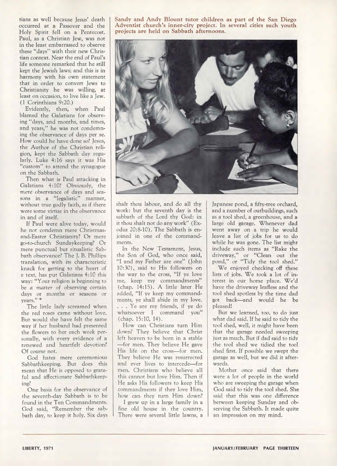tians as well because Jesus' death occurred at a Passover and the Holy Spirit fell on a Pentecost. Paul, as a Christian Jew, was not in the least embarrassed to observe these "days" with their new Christian context. Near the end of Paul's life someone remarked that he still kept the Jewish laws; and this is in harmony with his own statement that in order to convert Jews to Christianity he was willing, at least on occasion, to live like a Jew. (1 Corinthians 9:20.)

Evidently, then, when Paul blamed the Galatians for observing "days, and months, and times, and years," he was not condemning the observance of days per se. How could he have done so? Jesus, the Author of the Christian religion, kept the Sabbath day regularly. Luke 4:16 says it was His "custom" to attend the synagogue on the Sabbath.

Then what is Paul attacking in Galatians 4:10? Obviously, the *mere* observance of days and seasons in a "legalistic" manner, without true godly faith, as if there were some virtue in the observance in and of itself.

If Paul were alive today, would he not condemn mere Christmasand-Easter Christianity? Or mere go-to-church Sundaykeeping? Or mere punctual but ritualistic Sabbath observance? The J. B. Phillips translation, with its characteristic knack for getting to the heart of a text, has put Galatians 4:10 this way: "Your religion is beginning to be *a* matter *of* observing certain days or months or seasons or years." \*

The little lady screamed when the red roses came without love. But would she have felt the same way if her husband had presented the flowers to her each week personally, with every evidence of a renewed and heartfelt devotion? Of course not.

God hates mere ceremonious Sabbathkeeping. But does this mean that He is opposed to grateful and affectionate Sabbathkeeping?

One basis for the observance of the seventh-day Sabbath is to be found in the Ten Commandments. God said, "Remember the sabbath day, to keep it holy. Six days **Sandy and Andy Blount tutor children as part of the San Diego Adventist church's inner-city project. In several cities such youth projects are held on Sabbath afternoons.** 



shalt thou labour, and do all thy work: but the seventh day is the sabbath of the Lord thy God: in it thou shalt not do any work" (Exodus 20:8-10). The Sabbath is enjoined in one of the commandments.

In the New Testament, Jesus, the Son of God, who once said, "I and my Father are one" (John 10:30), said to His followers on the way to the cross, "If ye love me, keep my commandments" (chap. 14:15). A little later He added, "If ye keep my commandments, ye shall abide in my love. . . . Ye are my friends, if ye do whatsoever I command you" (chap. 15:10, 14).

How can Christians turn Him down? They believe that Christ left heaven to be born in a stable —for men. They believe He gave His life on the cross—for men. They believe He was resurrected and ever lives to intercede—for men. Christians who believe all this cannot but love Him. Then if He asks His followers to keep His commandments if they love Him, how can they turn Him down?

I grew up in a large family in a fine old house in the country. There were several little lawns, a Japanese pond, a fifty-tree orchard, and a number of outbuildings, such as a tool shed, a greenhouse, and a large old garage. Whenever dad went away on a trip he would leave a list of jobs for us to do while he was gone. The list might include such items as "Rake the driveway," or "Clean out the pond," or "Tidy the tool shed."

We enjoyed checking off these lists of jobs. We took a lot of interest in our home place. We'd have the driveway leafless and the tool shed spotless by the time dad got back—and would he be pleased!

But we learned, too, to do just what dad said. If he said to tidy the tool shed, well, it might have been that the garage needed sweeping just as much. But if dad said to tidy the tool shed we tidied the tool shed first. If possible we swept the garage as well, but we did it afterwards.

Mother once said that there were a lot of people in the world who are sweeping the garage when God said to tidy the tool shed. She said that this was one difference between keeping Sunday and observing the Sabbath. It made quite an impression on my mind.